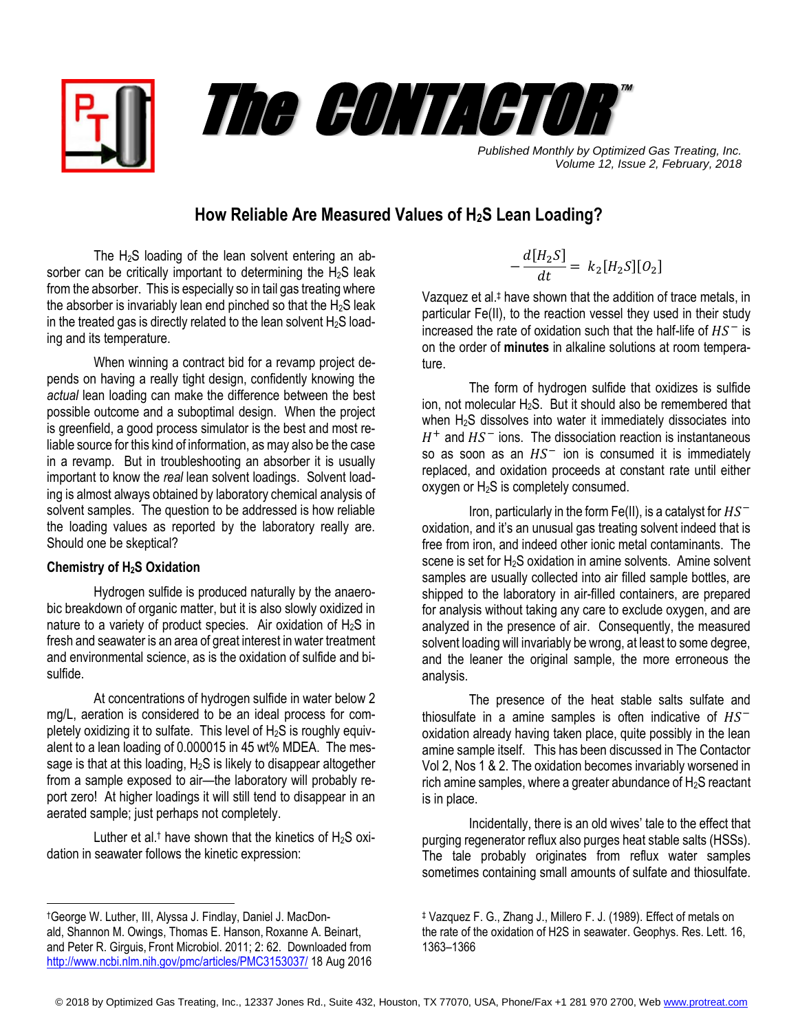



*Published Monthly by Optimized Gas Treating, Inc. Volume 12, Issue 2, February, 2018*

## **How Reliable Are Measured Values of H2S Lean Loading?**

The H2S loading of the lean solvent entering an absorber can be critically important to determining the  $H_2S$  leak from the absorber. This is especially so in tail gas treating where the absorber is invariably lean end pinched so that the  $H_2S$  leak in the treated gas is directly related to the lean solvent  $H_2S$  loading and its temperature.

When winning a contract bid for a revamp project depends on having a really tight design, confidently knowing the *actual* lean loading can make the difference between the best possible outcome and a suboptimal design. When the project is greenfield, a good process simulator is the best and most reliable source for this kind of information, as may also be the case in a revamp. But in troubleshooting an absorber it is usually important to know the *real* lean solvent loadings. Solvent loading is almost always obtained by laboratory chemical analysis of solvent samples. The question to be addressed is how reliable the loading values as reported by the laboratory really are. Should one be skeptical?

## **Chemistry of H2S Oxidation**

 $\overline{a}$ 

Hydrogen sulfide is produced naturally by the anaerobic breakdown of organic matter, but it is also slowly oxidized in nature to a variety of product species. Air oxidation of H<sub>2</sub>S in fresh and seawater is an area of great interest in water treatment and environmental science, as is the oxidation of sulfide and bisulfide.

At concentrations of hydrogen sulfide in water below 2 mg/L, aeration is considered to be an ideal process for completely oxidizing it to sulfate. This level of H2S is roughly equivalent to a lean loading of 0.000015 in 45 wt% MDEA. The message is that at this loading,  $H_2S$  is likely to disappear altogether from a sample exposed to air—the laboratory will probably report zero! At higher loadings it will still tend to disappear in an aerated sample; just perhaps not completely.

Luther et al.<sup>†</sup> have shown that the kinetics of  $H_2S$  oxidation in seawater follows the kinetic expression:

$$
-\frac{d[H_2S]}{dt} = k_2[H_2S][O_2]
$$

Vazquez et al. ‡ have shown that the addition of trace metals, in particular Fe(II), to the reaction vessel they used in their study increased the rate of oxidation such that the half-life of  $HS^-$  is on the order of **minutes** in alkaline solutions at room temperature.

The form of hydrogen sulfide that oxidizes is sulfide ion, not molecular  $H_2S$ . But it should also be remembered that when  $H_2S$  dissolves into water it immediately dissociates into  $H^+$  and  $HS^-$  ions. The dissociation reaction is instantaneous so as soon as an  $HS^-$  ion is consumed it is immediately replaced, and oxidation proceeds at constant rate until either oxygen or H<sub>2</sub>S is completely consumed.

Iron, particularly in the form Fe(II), is a catalyst for  $HS^$ oxidation, and it's an unusual gas treating solvent indeed that is free from iron, and indeed other ionic metal contaminants. The scene is set for H<sub>2</sub>S oxidation in amine solvents. Amine solvent samples are usually collected into air filled sample bottles, are shipped to the laboratory in air-filled containers, are prepared for analysis without taking any care to exclude oxygen, and are analyzed in the presence of air. Consequently, the measured solvent loading will invariably be wrong, at least to some degree, and the leaner the original sample, the more erroneous the analysis.

The presence of the heat stable salts sulfate and thiosulfate in a amine samples is often indicative of  $HS^$ oxidation already having taken place, quite possibly in the lean amine sample itself. This has been discussed in The Contactor Vol 2, Nos 1 & 2. The oxidation becomes invariably worsened in rich amine samples, where a greater abundance of  $H_2S$  reactant is in place.

Incidentally, there is an old wives' tale to the effect that purging regenerator reflux also purges heat stable salts (HSSs). The tale probably originates from reflux water samples sometimes containing small amounts of sulfate and thiosulfate.

<sup>†</sup>[George W. Luther, III,](https://www.ncbi.nlm.nih.gov/pubmed/?term=Luther%20GW%5BAuthor%5D&cauthor=true&cauthor_uid=21833317) [Alyssa J. Findlay,](https://www.ncbi.nlm.nih.gov/pubmed/?term=Findlay%20AJ%5BAuthor%5D&cauthor=true&cauthor_uid=21833317) [Daniel J. MacDon](https://www.ncbi.nlm.nih.gov/pubmed/?term=MacDonald%20DJ%5BAuthor%5D&cauthor=true&cauthor_uid=21833317)[ald,](https://www.ncbi.nlm.nih.gov/pubmed/?term=MacDonald%20DJ%5BAuthor%5D&cauthor=true&cauthor_uid=21833317) [Shannon M. Owings,](https://www.ncbi.nlm.nih.gov/pubmed/?term=Owings%20SM%5BAuthor%5D&cauthor=true&cauthor_uid=21833317) [Thomas E. Hanson,](https://www.ncbi.nlm.nih.gov/pubmed/?term=Hanson%20TE%5BAuthor%5D&cauthor=true&cauthor_uid=21833317) [Roxanne A. Beinart,](https://www.ncbi.nlm.nih.gov/pubmed/?term=Beinart%20RA%5BAuthor%5D&cauthor=true&cauthor_uid=21833317) and [Peter R. Girguis,](https://www.ncbi.nlm.nih.gov/pubmed/?term=Girguis%20PR%5BAuthor%5D&cauthor=true&cauthor_uid=21833317) [Front Microbiol.](https://www.ncbi.nlm.nih.gov/pmc/articles/PMC3153037/) 2011; 2: 62. Downloaded from <http://www.ncbi.nlm.nih.gov/pmc/articles/PMC3153037/> 18 Aug 2016

<sup>‡</sup> Vazquez F. G., Zhang J., Millero F. J. (1989). Effect of metals on the rate of the oxidation of H2S in seawater. Geophys. Res. Lett. 16, 1363–1366